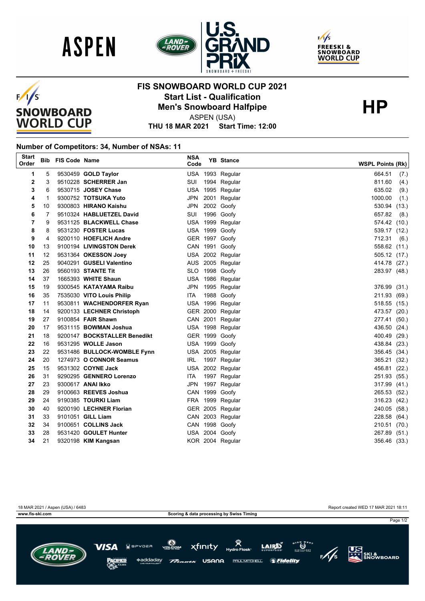





## $F/I/S$ **SNOWBOARD WORLD CUP**

## **FIS SNOWBOARD WORLD CUP 2021 Start List - Qualification<br>
Men's Snowboard Halfpipe<br>
ASPEN(USA)**

ASPEN (USA)

**THU 18 MAR 2021 Start Time: 12:00**

## **Number of Competitors: 34, Number of NSAs: 11**

| <b>Start</b><br>Order |                   | <b>Bib FIS Code Name</b> |                                           | <b>NSA</b><br>Code | <b>YB</b> Stance                 | <b>WSPL Points (Rk)</b>      |
|-----------------------|-------------------|--------------------------|-------------------------------------------|--------------------|----------------------------------|------------------------------|
| 1                     | 5                 |                          | 9530459 GOLD Taylor                       |                    | USA 1993 Regular                 | 664.51<br>(7.)               |
| 2                     | 3                 |                          | 9510228 SCHERRER Jan                      | SUI                | 1994 Regular                     | 811.60<br>(4.)               |
| 3                     | 6                 |                          | 9530715 JOSEY Chase                       |                    | USA 1995 Regular                 | 635.02<br>(9.)               |
| 4                     | $\mathbf{1}$      |                          | 9300752 TOTSUKA Yuto                      | <b>JPN</b>         | 2001 Regular                     | 1000.00<br>(1.)              |
| 5                     | 10                |                          | 9300803 HIRANO Kaishu                     | <b>JPN</b>         | 2002 Goofy                       | 530.94 (13.)                 |
| 6                     | 7                 |                          | 9510324 HABLUETZEL David                  | SUI                | 1996 Goofy                       | 657.82<br>(8.)               |
| 7                     | 9                 |                          | 9531125 BLACKWELL Chase                   |                    | USA 1999 Regular                 | 574.42 (10.)                 |
| 8                     | 8                 |                          | 9531230 FOSTER Lucas                      |                    | USA 1999 Goofy                   | 539.17 (12.)                 |
| 9                     | 4                 |                          | 9200110 HOEFLICH Andre                    |                    | GER 1997 Goofy                   | 712.31<br>(6.)               |
| 10                    | 13                |                          | 9100194 LIVINGSTON Derek                  |                    | CAN 1991 Goofy                   | 558.62 (11.)                 |
| 11                    | $12 \overline{ }$ |                          | 9531364 OKESSON Joey                      |                    | USA 2002 Regular                 | 505.12 (17.)                 |
| 12                    | 25                |                          | 9040291 GUSELI Valentino                  |                    | AUS 2005 Regular                 | 414.78 (27.)                 |
| 13                    | 26                |                          | 9560193 STANTE Tit                        |                    | SLO 1998 Goofy                   | 283.97 (48.)                 |
| 14                    | 37                |                          | 1665393 WHITE Shaun                       |                    | USA 1986 Regular                 |                              |
| 15                    | 19                |                          | 9300545 KATAYAMA Raibu                    |                    | JPN 1995 Regular                 | 376.99 (31.)                 |
| 16                    | 35                |                          | 7535030 VITO Louis Philip                 | ITA                | 1988 Goofy                       | 211.93 (69.)                 |
| 17                    | 11                |                          | 9530811 WACHENDORFER Ryan                 |                    | USA 1996 Regular                 | 518.55 (15.)                 |
| 18                    | 14                |                          | 9200133 LECHNER Christoph                 |                    | GER 2000 Regular                 | 473.57 (20.)                 |
| 19                    | 27                |                          | 9100854 FAIR Shawn                        |                    | CAN 2001 Regular                 | 277.41 (50.)                 |
| 20                    | 17                |                          | 9531115 BOWMAN Joshua                     |                    | USA 1998 Regular                 | 436.50 (24.)                 |
| 21                    | 18                |                          | 9200147 BOCKSTALLER Benedikt              |                    | GER 1999 Goofy                   | 400.49 (29.)                 |
| 22                    | 16                |                          | 9531295 WOLLE Jason                       |                    | USA 1999 Goofy                   | 438.84 (23.)                 |
| 23                    | 22                |                          | 9531486 BULLOCK-WOMBLE Fynn               |                    | USA 2005 Regular                 | 356.45 (34.)                 |
| 24                    | 20                |                          | 1274973 O CONNOR Seamus                   | IRL                | 1997 Regular                     | 365.21 (32.)                 |
| 25                    | 15                |                          | 9531302 COYNE Jack                        |                    | USA 2002 Regular                 | 456.81 (22.)                 |
| 26                    | 31                |                          | 9290295 GENNERO Lorenzo                   | <b>ITA</b>         | 1997 Regular                     | 251.93 (55.)                 |
| 27                    | 23                |                          | 9300617 ANAI Ikko                         |                    | JPN 1997 Regular                 | 317.99 (41.)                 |
| 28                    | 29                |                          | 9100663 REEVES Joshua                     |                    | CAN 1999 Goofy                   | 265.53 (52.)                 |
| 29                    | 24                |                          | 9190385 TOURKI Liam                       |                    | FRA 1999 Regular                 | 316.23 (42.)                 |
| 30                    | 40                |                          | 9200190 LECHNER Florian                   |                    | GER 2005 Regular                 | 240.05 (58.)                 |
| 31<br>32              | 33<br>34          |                          | 9101051 GILL Liam<br>9100651 COLLINS Jack |                    | CAN 2003 Regular                 | 228.58 (64.)                 |
| 33                    | 28                |                          | 9531420 GOULET Hunter                     |                    | CAN 1998 Goofy<br>USA 2004 Goofy | 210.51 (70.)<br>267.89 (51.) |
| 34                    | 21                |                          | 9320198 KIM Kangsan                       |                    | KOR 2004 Regular                 | 356.46 (33.)                 |
|                       |                   |                          |                                           |                    |                                  |                              |